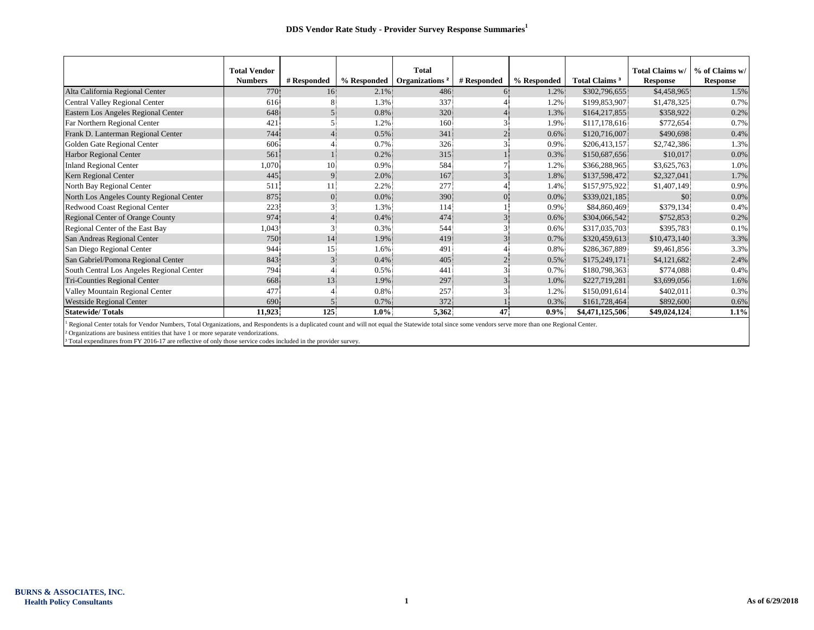|                                           | <b>Total Vendor</b> |             |             | Total                      |                |             |                           | Total Claims w/ | % of Claims w/  |
|-------------------------------------------|---------------------|-------------|-------------|----------------------------|----------------|-------------|---------------------------|-----------------|-----------------|
|                                           | <b>Numbers</b>      | # Responded | % Responded | Organizations <sup>2</sup> | # Responded    | % Responded | Total Claims <sup>3</sup> | <b>Response</b> | <b>Response</b> |
| Alta California Regional Center           | 770.                | 16          | $2.1\%$     | 486                        | 6.             | 1.2%        | \$302,796,655             | \$4,458,965     | 1.5%            |
| Central Valley Regional Center            | 616                 |             | 1.3%        | 337                        |                | 1.2%        | \$199,853,907             | \$1,478,325     | 0.7%            |
| Eastern Los Angeles Regional Center       | 648                 |             | 0.8%        | 320                        |                | 1.3%        | \$164,217,855             | \$358,922       | 0.2%            |
| Far Northern Regional Center              | 421                 |             | 1.2%        | 160                        |                | 1.9%        | \$117,178,616             | \$772,654       | 0.7%            |
| Frank D. Lanterman Regional Center        | 744                 |             | 0.5%        | 341                        |                | 0.6%        | \$120,716,007             | \$490,698       | 0.4%            |
| Golden Gate Regional Center               | 606                 |             | 0.7%        | 326                        |                | 0.9%        | \$206,413,157             | \$2,742,386     | 1.3%            |
| Harbor Regional Center                    | 561                 |             | 0.2%        | 315                        |                | 0.3%        | \$150,687,656             | \$10,017        | 0.0%            |
| <b>Inland Regional Center</b>             | 1,070               | 10.         | 0.9%        | 584                        |                | 1.2%        | \$366,288,965             | \$3,625,763     | 1.0%            |
| Kern Regional Center                      | 445                 |             | 2.0%        | 167                        | 3.             | 1.8%        | \$137,598,472             | \$2,327,041     | 1.7%            |
| North Bay Regional Center                 | 511.                |             | 2.2%        | 277                        |                | 1.4%        | \$157,975,922             | \$1,407,149     | 0.9%            |
| North Los Angeles County Regional Center  | 875                 | 0.          | $0.0\%$     | 390                        | 0.             | $0.0\%$     | \$339,021,185             | \$0             | 0.0%            |
| Redwood Coast Regional Center             | 223                 |             | 1.3%        | 114                        |                | 0.9%        | \$84,860,469              | \$379,134       | 0.4%            |
| Regional Center of Orange County          | 974                 |             | 0.4%        | 474                        | 3 <sup>1</sup> | 0.6%        | \$304,066,542             | \$752,853       | 0.2%            |
| Regional Center of the East Bay           | 1,043               |             | 0.3%        | 544                        |                | 0.6%        | \$317,035,703             | \$395,783       | 0.1%            |
| San Andreas Regional Center               | 750                 | 14          | 1.9%        | 419                        | 3 <sup>1</sup> | 0.7%        | \$320,459,613             | \$10,473,140    | 3.3%            |
| San Diego Regional Center                 | 944                 | 15          | 1.6%        | 491                        |                | 0.8%        | \$286,367,889             | \$9,461,856     | 3.3%            |
| San Gabriel/Pomona Regional Center        | 843                 |             | 0.4%        | 405                        |                | 0.5%        | \$175,249,171             | \$4,121,682     | 2.4%            |
| South Central Los Angeles Regional Center | 794                 |             | 0.5%        | 441                        |                | 0.7%        | \$180,798,363             | \$774,088       | 0.4%            |
| Tri-Counties Regional Center              | 668                 | 13          | 1.9%        | 297                        |                | 1.0%        | \$227,719,281             | \$3,699,056     | 1.6%            |
| Valley Mountain Regional Center           | 477                 |             | 0.8%        | 257                        |                | 1.2%        | \$150,091,614             | \$402.011       | 0.3%            |
| <b>Westside Regional Center</b>           | 690                 |             | 0.7%        | 372                        |                | 0.3%        | \$161,728,464             | \$892,600       | 0.6%            |
| <b>Statewide/Totals</b>                   | 11,923              | 125         | $1.0\%$     | 5,362                      | 47             | $0.9\%$     | \$4,471,125,506           | \$49,024,124    | 1.1%            |

<sup>1</sup> Regional Center totals for Vendor Numbers, Total Organizations, and Respondents is a duplicated count and will not equal the Statewide total since some vendors serve more than one Regional Center.

² Organizations are business entities that have 1 or more separate vendorizations.

<sup>3</sup> Total expenditures from FY 2016-17 are reflective of only those service codes included in the provider survey.